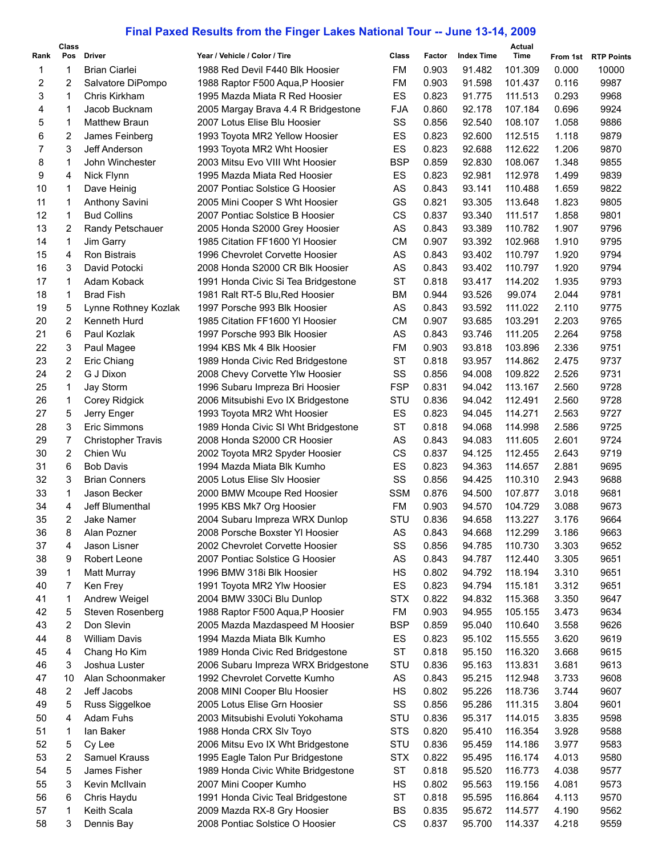## **Final Paxed Results from the Finger Lakes National Tour -- June 13-14, 2009**

|      | Class |                           |                                     |            |        |                   | Actual  |          |                   |
|------|-------|---------------------------|-------------------------------------|------------|--------|-------------------|---------|----------|-------------------|
| Rank | Pos   | <b>Driver</b>             | Year / Vehicle / Color / Tire       | Class      | Factor | <b>Index Time</b> | Time    | From 1st | <b>RTP Points</b> |
| 1    | 1     | <b>Brian Ciarlei</b>      | 1988 Red Devil F440 Blk Hoosier     | FM         | 0.903  | 91.482            | 101.309 | 0.000    | 10000             |
| 2    | 2     | Salvatore DiPompo         | 1988 Raptor F500 Aqua, P Hoosier    | FM         | 0.903  | 91.598            | 101.437 | 0.116    | 9987              |
| 3    | 1     | Chris Kirkham             | 1995 Mazda Miata R Red Hoosier      | ES         | 0.823  | 91.775            | 111.513 | 0.293    | 9968              |
| 4    | 1     | Jacob Bucknam             | 2005 Margay Brava 4.4 R Bridgestone | FJA        | 0.860  | 92.178            | 107.184 | 0.696    | 9924              |
| 5    | 1     | <b>Matthew Braun</b>      | 2007 Lotus Elise Blu Hoosier        | SS         | 0.856  | 92.540            | 108.107 | 1.058    | 9886              |
| 6    | 2     | James Feinberg            | 1993 Toyota MR2 Yellow Hoosier      | ES         | 0.823  | 92.600            | 112.515 | 1.118    | 9879              |
| 7    | 3     | Jeff Anderson             | 1993 Toyota MR2 Wht Hoosier         | ES         | 0.823  | 92.688            | 112.622 | 1.206    | 9870              |
| 8    | 1     | John Winchester           | 2003 Mitsu Evo VIII Wht Hoosier     | <b>BSP</b> | 0.859  | 92.830            | 108.067 | 1.348    | 9855              |
| 9    | 4     | Nick Flynn                | 1995 Mazda Miata Red Hoosier        | ES         | 0.823  | 92.981            | 112.978 | 1.499    | 9839              |
| 10   | 1     | Dave Heinig               | 2007 Pontiac Solstice G Hoosier     | AS         | 0.843  | 93.141            | 110.488 | 1.659    | 9822              |
| 11   | 1     |                           |                                     | GS         | 0.821  | 93.305            |         | 1.823    | 9805              |
|      |       | <b>Anthony Savini</b>     | 2005 Mini Cooper S Wht Hoosier      |            |        |                   | 113.648 |          |                   |
| 12   | 1     | <b>Bud Collins</b>        | 2007 Pontiac Solstice B Hoosier     | CS         | 0.837  | 93.340            | 111.517 | 1.858    | 9801              |
| 13   | 2     | Randy Petschauer          | 2005 Honda S2000 Grey Hoosier       | AS         | 0.843  | 93.389            | 110.782 | 1.907    | 9796              |
| 14   | 1     | Jim Garry                 | 1985 Citation FF1600 YI Hoosier     | <b>CM</b>  | 0.907  | 93.392            | 102.968 | 1.910    | 9795              |
| 15   | 4     | <b>Ron Bistrais</b>       | 1996 Chevrolet Corvette Hoosier     | AS         | 0.843  | 93.402            | 110.797 | 1.920    | 9794              |
| 16   | 3     | David Potocki             | 2008 Honda S2000 CR Blk Hoosier     | AS         | 0.843  | 93.402            | 110.797 | 1.920    | 9794              |
| 17   | 1     | Adam Koback               | 1991 Honda Civic Si Tea Bridgestone | <b>ST</b>  | 0.818  | 93.417            | 114.202 | 1.935    | 9793              |
| 18   | 1     | <b>Brad Fish</b>          | 1981 Ralt RT-5 Blu, Red Hoosier     | ВM         | 0.944  | 93.526            | 99.074  | 2.044    | 9781              |
| 19   | 5     | Lynne Rothney Kozlak      | 1997 Porsche 993 Blk Hoosier        | AS         | 0.843  | 93.592            | 111.022 | 2.110    | 9775              |
| 20   | 2     | Kenneth Hurd              | 1985 Citation FF1600 YI Hoosier     | <b>CM</b>  | 0.907  | 93.685            | 103.291 | 2.203    | 9765              |
| 21   | 6     | Paul Kozlak               | 1997 Porsche 993 Blk Hoosier        | AS         | 0.843  | 93.746            | 111.205 | 2.264    | 9758              |
| 22   | 3     | Paul Magee                | 1994 KBS Mk 4 Blk Hoosier           | FM         | 0.903  | 93.818            | 103.896 | 2.336    | 9751              |
| 23   | 2     | Eric Chiang               | 1989 Honda Civic Red Bridgestone    | <b>ST</b>  | 0.818  | 93.957            | 114.862 | 2.475    | 9737              |
| 24   | 2     | G J Dixon                 | 2008 Chevy Corvette Ylw Hoosier     | SS         | 0.856  | 94.008            | 109.822 | 2.526    | 9731              |
| 25   | 1     | Jay Storm                 | 1996 Subaru Impreza Bri Hoosier     | <b>FSP</b> | 0.831  | 94.042            | 113.167 | 2.560    | 9728              |
| 26   | 1     | Corey Ridgick             | 2006 Mitsubishi Evo IX Bridgestone  | STU        | 0.836  | 94.042            | 112.491 | 2.560    | 9728              |
| 27   | 5     |                           |                                     | ES         | 0.823  | 94.045            | 114.271 | 2.563    | 9727              |
|      |       | Jerry Enger               | 1993 Toyota MR2 Wht Hoosier         |            |        |                   |         |          |                   |
| 28   | 3     | Eric Simmons              | 1989 Honda Civic SI Wht Bridgestone | <b>ST</b>  | 0.818  | 94.068            | 114.998 | 2.586    | 9725              |
| 29   | 7     | <b>Christopher Travis</b> | 2008 Honda S2000 CR Hoosier         | AS         | 0.843  | 94.083            | 111.605 | 2.601    | 9724              |
| 30   | 2     | Chien Wu                  | 2002 Toyota MR2 Spyder Hoosier      | CS         | 0.837  | 94.125            | 112.455 | 2.643    | 9719              |
| 31   | 6     | <b>Bob Davis</b>          | 1994 Mazda Miata Blk Kumho          | ES         | 0.823  | 94.363            | 114.657 | 2.881    | 9695              |
| 32   | 3     | <b>Brian Conners</b>      | 2005 Lotus Elise SIv Hoosier        | SS         | 0.856  | 94.425            | 110.310 | 2.943    | 9688              |
| 33   | 1     | Jason Becker              | 2000 BMW Mcoupe Red Hoosier         | <b>SSM</b> | 0.876  | 94.500            | 107.877 | 3.018    | 9681              |
| 34   | 4     | Jeff Blumenthal           | 1995 KBS Mk7 Org Hoosier            | FM         | 0.903  | 94.570            | 104.729 | 3.088    | 9673              |
| 35   | 2     | Jake Namer                | 2004 Subaru Impreza WRX Dunlop      | STU        | 0.836  | 94.658            | 113.227 | 3.176    | 9664              |
| 36   | 8     | Alan Pozner               | 2008 Porsche Boxster YI Hoosier     | AS         | 0.843  | 94.668            | 112.299 | 3.186    | 9663              |
| 37   | 4     | Jason Lisner              | 2002 Chevrolet Corvette Hoosier     | SS         | 0.856  | 94.785            | 110.730 | 3.303    | 9652              |
| 38   | 9     | Robert Leone              | 2007 Pontiac Solstice G Hoosier     | AS         | 0.843  | 94.787            | 112.440 | 3.305    | 9651              |
| 39   | 1     | Matt Murray               | 1996 BMW 318i Blk Hoosier           | НS         | 0.802  | 94.792            | 118.194 | 3.310    | 9651              |
| 40   | 7     | Ken Frey                  | 1991 Toyota MR2 Ylw Hoosier         | ES         | 0.823  | 94.794            | 115.181 | 3.312    | 9651              |
| 41   | 1     | Andrew Weigel             | 2004 BMW 330Ci Blu Dunlop           | <b>STX</b> | 0.822  | 94.832            | 115.368 | 3.350    | 9647              |
| 42   | 5     | Steven Rosenberg          | 1988 Raptor F500 Aqua, P Hoosier    | FM         | 0.903  | 94.955            | 105.155 | 3.473    | 9634              |
| 43   | 2     | Don Slevin                | 2005 Mazda Mazdaspeed M Hoosier     | BSP        | 0.859  | 95.040            | 110.640 | 3.558    | 9626              |
| 44   | 8     | <b>William Davis</b>      | 1994 Mazda Miata Blk Kumho          | ES         | 0.823  | 95.102            | 115.555 | 3.620    | 9619              |
| 45   | 4     | Chang Ho Kim              | 1989 Honda Civic Red Bridgestone    | <b>ST</b>  | 0.818  | 95.150            | 116.320 | 3.668    | 9615              |
| 46   | 3     | Joshua Luster             | 2006 Subaru Impreza WRX Bridgestone | STU        | 0.836  | 95.163            | 113.831 | 3.681    | 9613              |
|      |       |                           |                                     |            |        |                   |         |          |                   |
| 47   | 10    | Alan Schoonmaker          | 1992 Chevrolet Corvette Kumho       | AS         | 0.843  | 95.215            | 112.948 | 3.733    | 9608              |
| 48   | 2     | Jeff Jacobs               | 2008 MINI Cooper Blu Hoosier        | HS         | 0.802  | 95.226            | 118.736 | 3.744    | 9607              |
| 49   | 5     | Russ Siggelkoe            | 2005 Lotus Elise Grn Hoosier        | SS         | 0.856  | 95.286            | 111.315 | 3.804    | 9601              |
| 50   | 4     | Adam Fuhs                 | 2003 Mitsubishi Evoluti Yokohama    | STU        | 0.836  | 95.317            | 114.015 | 3.835    | 9598              |
| 51   | 1     | lan Baker                 | 1988 Honda CRX Slv Toyo             | <b>STS</b> | 0.820  | 95.410            | 116.354 | 3.928    | 9588              |
| 52   | 5     | Cy Lee                    | 2006 Mitsu Evo IX Wht Bridgestone   | STU        | 0.836  | 95.459            | 114.186 | 3.977    | 9583              |
| 53   | 2     | Samuel Krauss             | 1995 Eagle Talon Pur Bridgestone    | <b>STX</b> | 0.822  | 95.495            | 116.174 | 4.013    | 9580              |
| 54   | 5     | James Fisher              | 1989 Honda Civic White Bridgestone  | <b>ST</b>  | 0.818  | 95.520            | 116.773 | 4.038    | 9577              |
| 55   | 3     | Kevin McIlvain            | 2007 Mini Cooper Kumho              | НS         | 0.802  | 95.563            | 119.156 | 4.081    | 9573              |
| 56   | 6     | Chris Haydu               | 1991 Honda Civic Teal Bridgestone   | <b>ST</b>  | 0.818  | 95.595            | 116.864 | 4.113    | 9570              |
| 57   | 1     | Keith Scala               | 2009 Mazda RX-8 Gry Hoosier         | BS         | 0.835  | 95.672            | 114.577 | 4.190    | 9562              |
| 58   | 3     | Dennis Bay                | 2008 Pontiac Solstice O Hoosier     | CS         | 0.837  | 95.700            | 114.337 | 4.218    | 9559              |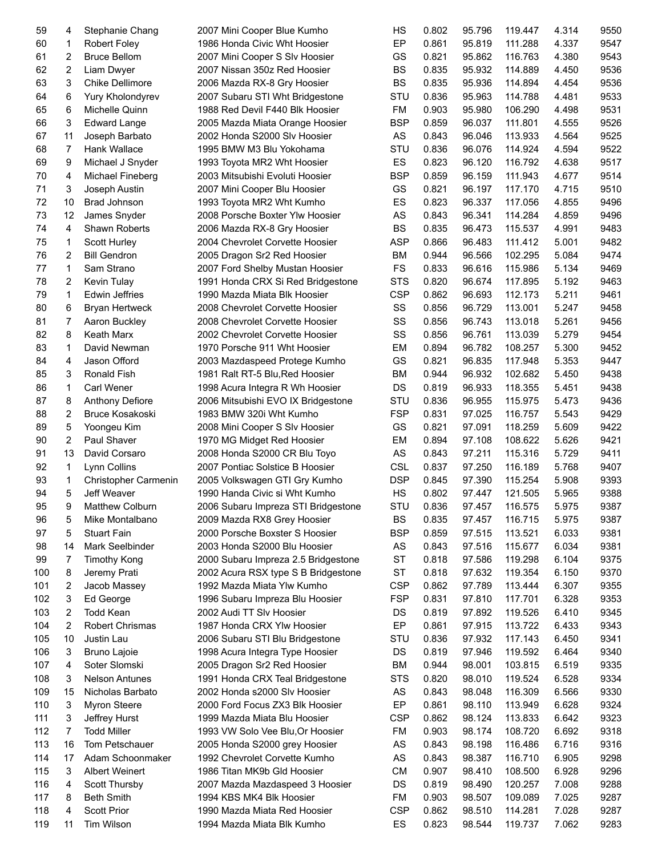| 59  | 4              | Stephanie Chang        | 2007 Mini Cooper Blue Kumho         | HS         | 0.802 | 95.796 | 119.447 | 4.314 | 9550 |
|-----|----------------|------------------------|-------------------------------------|------------|-------|--------|---------|-------|------|
| 60  | 1              | <b>Robert Foley</b>    | 1986 Honda Civic Wht Hoosier        | EP         | 0.861 | 95.819 | 111.288 | 4.337 | 9547 |
| 61  | 2              | <b>Bruce Bellom</b>    | 2007 Mini Cooper S SIv Hoosier      | GS         | 0.821 | 95.862 | 116.763 | 4.380 | 9543 |
| 62  | $\overline{c}$ | Liam Dwyer             | 2007 Nissan 350z Red Hoosier        | <b>BS</b>  | 0.835 | 95.932 | 114.889 | 4.450 | 9536 |
| 63  | 3              | <b>Chike Dellimore</b> | 2006 Mazda RX-8 Gry Hoosier         | <b>BS</b>  | 0.835 | 95.936 | 114.894 | 4.454 | 9536 |
| 64  | 6              | Yury Kholondyrev       | 2007 Subaru STI Wht Bridgestone     | STU        | 0.836 | 95.963 | 114.788 | 4.481 | 9533 |
| 65  | 6              | Michelle Quinn         | 1988 Red Devil F440 Blk Hoosier     | FM         | 0.903 | 95.980 | 106.290 | 4.498 | 9531 |
| 66  | 3              | <b>Edward Lange</b>    | 2005 Mazda Miata Orange Hoosier     | <b>BSP</b> | 0.859 | 96.037 | 111.801 | 4.555 | 9526 |
| 67  | 11             | Joseph Barbato         | 2002 Honda S2000 Slv Hoosier        | AS         | 0.843 | 96.046 | 113.933 | 4.564 | 9525 |
| 68  | 7              | Hank Wallace           | 1995 BMW M3 Blu Yokohama            | STU        | 0.836 | 96.076 | 114.924 | 4.594 | 9522 |
| 69  | 9              | Michael J Snyder       | 1993 Toyota MR2 Wht Hoosier         | ES         | 0.823 | 96.120 | 116.792 | 4.638 | 9517 |
| 70  | 4              | Michael Fineberg       | 2003 Mitsubishi Evoluti Hoosier     | <b>BSP</b> | 0.859 | 96.159 | 111.943 | 4.677 | 9514 |
| 71  | 3              | Joseph Austin          | 2007 Mini Cooper Blu Hoosier        | GS         | 0.821 | 96.197 | 117.170 | 4.715 | 9510 |
| 72  | 10             | <b>Brad Johnson</b>    | 1993 Toyota MR2 Wht Kumho           | ES         | 0.823 | 96.337 | 117.056 | 4.855 | 9496 |
| 73  | 12             | James Snyder           | 2008 Porsche Boxter Ylw Hoosier     | AS         | 0.843 | 96.341 | 114.284 | 4.859 | 9496 |
| 74  |                | Shawn Roberts          |                                     | BS         | 0.835 | 96.473 | 115.537 | 4.991 | 9483 |
|     | 4              |                        | 2006 Mazda RX-8 Gry Hoosier         |            |       |        |         |       |      |
| 75  | 1              | Scott Hurley           | 2004 Chevrolet Corvette Hoosier     | <b>ASP</b> | 0.866 | 96.483 | 111.412 | 5.001 | 9482 |
| 76  | 2              | <b>Bill Gendron</b>    | 2005 Dragon Sr2 Red Hoosier         | BM         | 0.944 | 96.566 | 102.295 | 5.084 | 9474 |
| 77  | 1              | Sam Strano             | 2007 Ford Shelby Mustan Hoosier     | <b>FS</b>  | 0.833 | 96.616 | 115.986 | 5.134 | 9469 |
| 78  | 2              | Kevin Tulay            | 1991 Honda CRX Si Red Bridgestone   | <b>STS</b> | 0.820 | 96.674 | 117.895 | 5.192 | 9463 |
| 79  | 1              | <b>Edwin Jeffries</b>  | 1990 Mazda Miata Blk Hoosier        | <b>CSP</b> | 0.862 | 96.693 | 112.173 | 5.211 | 9461 |
| 80  | 6              | <b>Bryan Hertweck</b>  | 2008 Chevrolet Corvette Hoosier     | SS         | 0.856 | 96.729 | 113.001 | 5.247 | 9458 |
| 81  | 7              | Aaron Buckley          | 2008 Chevrolet Corvette Hoosier     | SS         | 0.856 | 96.743 | 113.018 | 5.261 | 9456 |
| 82  | 8              | <b>Keath Marx</b>      | 2002 Chevrolet Corvette Hoosier     | SS         | 0.856 | 96.761 | 113.039 | 5.279 | 9454 |
| 83  | 1              | David Newman           | 1970 Porsche 911 Wht Hoosier        | EM         | 0.894 | 96.782 | 108.257 | 5.300 | 9452 |
| 84  | 4              | Jason Offord           | 2003 Mazdaspeed Protege Kumho       | GS         | 0.821 | 96.835 | 117.948 | 5.353 | 9447 |
| 85  | 3              | Ronald Fish            | 1981 Ralt RT-5 Blu, Red Hoosier     | BM         | 0.944 | 96.932 | 102.682 | 5.450 | 9438 |
| 86  | 1              | <b>Carl Wener</b>      | 1998 Acura Integra R Wh Hoosier     | DS         | 0.819 | 96.933 | 118.355 | 5.451 | 9438 |
| 87  | 8              | <b>Anthony Defiore</b> | 2006 Mitsubishi EVO IX Bridgestone  | STU        | 0.836 | 96.955 | 115.975 | 5.473 | 9436 |
| 88  | 2              | <b>Bruce Kosakoski</b> | 1983 BMW 320i Wht Kumho             | <b>FSP</b> | 0.831 | 97.025 | 116.757 | 5.543 | 9429 |
| 89  | 5              | Yoongeu Kim            | 2008 Mini Cooper S SIv Hoosier      | GS         | 0.821 | 97.091 | 118.259 | 5.609 | 9422 |
| 90  | 2              | Paul Shaver            | 1970 MG Midget Red Hoosier          | EM         | 0.894 | 97.108 | 108.622 | 5.626 | 9421 |
| 91  | 13             | David Corsaro          | 2008 Honda S2000 CR Blu Toyo        | AS         | 0.843 | 97.211 | 115.316 | 5.729 | 9411 |
| 92  | 1              | Lynn Collins           | 2007 Pontiac Solstice B Hoosier     | <b>CSL</b> | 0.837 | 97.250 | 116.189 | 5.768 | 9407 |
| 93  | 1              | Christopher Carmenin   | 2005 Volkswagen GTI Gry Kumho       | <b>DSP</b> | 0.845 | 97.390 | 115.254 | 5.908 | 9393 |
| 94  | 5              | Jeff Weaver            | 1990 Handa Civic si Wht Kumho       | HS         | 0.802 | 97.447 | 121.505 | 5.965 | 9388 |
| 95  | 9              | Matthew Colburn        | 2006 Subaru Impreza STI Bridgestone | STU        | 0.836 | 97.457 | 116.575 | 5.975 | 9387 |
| 96  | 5              | Mike Montalbano        | 2009 Mazda RX8 Grey Hoosier         | BS         | 0.835 | 97.457 | 116.715 | 5.975 | 9387 |
| 97  | 5              | <b>Stuart Fain</b>     | 2000 Porsche Boxster S Hoosier      | <b>BSP</b> | 0.859 | 97.515 | 113.521 | 6.033 | 9381 |
| 98  | 14             | Mark Seelbinder        | 2003 Honda S2000 Blu Hoosier        | AS         | 0.843 | 97.516 | 115.677 | 6.034 | 9381 |
| 99  | 7              | <b>Timothy Kong</b>    | 2000 Subaru Impreza 2.5 Bridgestone | ST         | 0.818 | 97.586 | 119.298 | 6.104 | 9375 |
| 100 | 8              | Jeremy Prati           | 2002 Acura RSX type S B Bridgestone | ST         | 0.818 | 97.632 | 119.354 | 6.150 | 9370 |
| 101 | 2              | Jacob Massey           | 1992 Mazda Miata Ylw Kumho          | <b>CSP</b> | 0.862 | 97.789 | 113.444 | 6.307 | 9355 |
| 102 | 3              | Ed George              | 1996 Subaru Impreza Blu Hoosier     | <b>FSP</b> | 0.831 | 97.810 | 117.701 | 6.328 | 9353 |
| 103 | 2              | <b>Todd Kean</b>       | 2002 Audi TT Slv Hoosier            | DS         | 0.819 | 97.892 | 119.526 | 6.410 | 9345 |
| 104 | 2              | Robert Chrismas        | 1987 Honda CRX Ylw Hoosier          | EP         | 0.861 | 97.915 | 113.722 | 6.433 | 9343 |
| 105 |                |                        | 2006 Subaru STI Blu Bridgestone     |            |       |        |         |       |      |
|     | 10             | Justin Lau             |                                     | STU        | 0.836 | 97.932 | 117.143 | 6.450 | 9341 |
| 106 | 3              | Bruno Lajoie           | 1998 Acura Integra Type Hoosier     | DS         | 0.819 | 97.946 | 119.592 | 6.464 | 9340 |
| 107 | 4              | Soter Slomski          | 2005 Dragon Sr2 Red Hoosier         | ВM         | 0.944 | 98.001 | 103.815 | 6.519 | 9335 |
| 108 | 3              | <b>Nelson Antunes</b>  | 1991 Honda CRX Teal Bridgestone     | STS        | 0.820 | 98.010 | 119.524 | 6.528 | 9334 |
| 109 | 15             | Nicholas Barbato       | 2002 Honda s2000 Slv Hoosier        | AS         | 0.843 | 98.048 | 116.309 | 6.566 | 9330 |
| 110 | 3              | Myron Steere           | 2000 Ford Focus ZX3 Blk Hoosier     | EP         | 0.861 | 98.110 | 113.949 | 6.628 | 9324 |
| 111 | 3              | Jeffrey Hurst          | 1999 Mazda Miata Blu Hoosier        | <b>CSP</b> | 0.862 | 98.124 | 113.833 | 6.642 | 9323 |
| 112 | 7              | <b>Todd Miller</b>     | 1993 VW Solo Vee Blu, Or Hoosier    | FM         | 0.903 | 98.174 | 108.720 | 6.692 | 9318 |
| 113 | 16             | Tom Petschauer         | 2005 Honda S2000 grey Hoosier       | AS         | 0.843 | 98.198 | 116.486 | 6.716 | 9316 |
| 114 | 17             | Adam Schoonmaker       | 1992 Chevrolet Corvette Kumho       | AS         | 0.843 | 98.387 | 116.710 | 6.905 | 9298 |
| 115 | 3              | <b>Albert Weinert</b>  | 1986 Titan MK9b Gld Hoosier         | <b>CM</b>  | 0.907 | 98.410 | 108.500 | 6.928 | 9296 |
| 116 | 4              | Scott Thursby          | 2007 Mazda Mazdaspeed 3 Hoosier     | DS         | 0.819 | 98.490 | 120.257 | 7.008 | 9288 |
| 117 | 8              | <b>Beth Smith</b>      | 1994 KBS MK4 Blk Hoosier            | FM         | 0.903 | 98.507 | 109.089 | 7.025 | 9287 |
| 118 | 4              | <b>Scott Prior</b>     | 1990 Mazda Miata Red Hoosier        | CSP        | 0.862 | 98.510 | 114.281 | 7.028 | 9287 |
| 119 | 11             | Tim Wilson             | 1994 Mazda Miata Blk Kumho          | ES         | 0.823 | 98.544 | 119.737 | 7.062 | 9283 |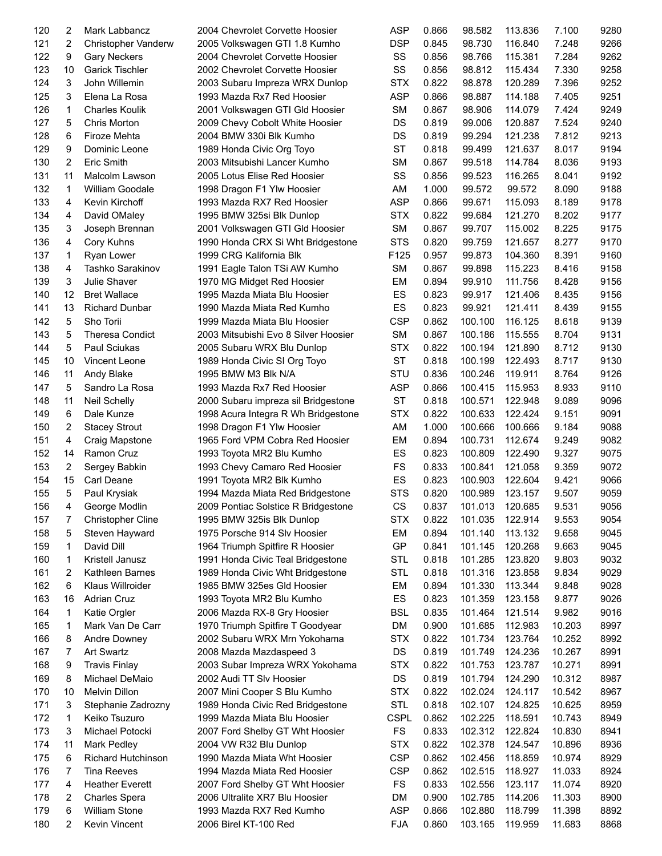| 120 | 2            | Mark Labbancz             | 2004 Chevrolet Corvette Hoosier                                 | <b>ASP</b>  | 0.866 | 98.582             | 113.836 | 7.100  | 9280 |
|-----|--------------|---------------------------|-----------------------------------------------------------------|-------------|-------|--------------------|---------|--------|------|
| 121 | 2            | Christopher Vanderw       | 2005 Volkswagen GTI 1.8 Kumho                                   | <b>DSP</b>  | 0.845 | 98.730             | 116.840 | 7.248  | 9266 |
| 122 | 9            | <b>Gary Neckers</b>       | 2004 Chevrolet Corvette Hoosier                                 | SS          | 0.856 | 98.766             | 115.381 | 7.284  | 9262 |
| 123 | 10           | <b>Garick Tischler</b>    | 2002 Chevrolet Corvette Hoosier                                 | SS          | 0.856 | 98.812             | 115.434 | 7.330  | 9258 |
| 124 | 3            | John Willemin             | 2003 Subaru Impreza WRX Dunlop                                  | <b>STX</b>  | 0.822 | 98.878             | 120.289 | 7.396  | 9252 |
| 125 | 3            | Elena La Rosa             | 1993 Mazda Rx7 Red Hoosier                                      | <b>ASP</b>  | 0.866 | 98.887             | 114.188 | 7.405  | 9251 |
| 126 | $\mathbf{1}$ | <b>Charles Koulik</b>     | 2001 Volkswagen GTI Gld Hoosier                                 | <b>SM</b>   | 0.867 | 98.906             | 114.079 | 7.424  | 9249 |
| 127 | 5            | Chris Morton              | 2009 Chevy Cobolt White Hoosier                                 | DS          | 0.819 | 99.006             | 120.887 | 7.524  | 9240 |
| 128 | 6            | Firoze Mehta              | 2004 BMW 330i Blk Kumho                                         | DS          | 0.819 | 99.294             | 121.238 | 7.812  | 9213 |
| 129 | 9            | Dominic Leone             | 1989 Honda Civic Org Toyo                                       | ST          | 0.818 | 99.499             | 121.637 | 8.017  | 9194 |
| 130 |              | Eric Smith                |                                                                 | <b>SM</b>   | 0.867 | 99.518             | 114.784 | 8.036  | 9193 |
| 131 | 2<br>11      |                           | 2003 Mitsubishi Lancer Kumho<br>2005 Lotus Elise Red Hoosier    | SS          | 0.856 | 99.523             |         |        | 9192 |
|     |              | Malcolm Lawson            |                                                                 |             |       |                    | 116.265 | 8.041  |      |
| 132 | $\mathbf{1}$ | <b>William Goodale</b>    | 1998 Dragon F1 Ylw Hoosier                                      | AM          | 1.000 | 99.572             | 99.572  | 8.090  | 9188 |
| 133 | 4            | Kevin Kirchoff            | 1993 Mazda RX7 Red Hoosier                                      | <b>ASP</b>  | 0.866 | 99.671             | 115.093 | 8.189  | 9178 |
| 134 | 4            | David OMaley              | 1995 BMW 325si Blk Dunlop                                       | <b>STX</b>  | 0.822 | 99.684             | 121.270 | 8.202  | 9177 |
| 135 | 3            | Joseph Brennan            | 2001 Volkswagen GTI Gld Hoosier                                 | <b>SM</b>   | 0.867 | 99.707             | 115.002 | 8.225  | 9175 |
| 136 | 4            | Cory Kuhns                | 1990 Honda CRX Si Wht Bridgestone                               | <b>STS</b>  | 0.820 | 99.759             | 121.657 | 8.277  | 9170 |
| 137 | 1            | Ryan Lower                | 1999 CRG Kalifornia Blk                                         | F125        | 0.957 | 99.873             | 104.360 | 8.391  | 9160 |
| 138 | 4            | Tashko Sarakinov          | 1991 Eagle Talon TSi AW Kumho                                   | <b>SM</b>   | 0.867 | 99.898             | 115.223 | 8.416  | 9158 |
| 139 | 3            | Julie Shaver              | 1970 MG Midget Red Hoosier                                      | EM          | 0.894 | 99.910             | 111.756 | 8.428  | 9156 |
| 140 | 12           | <b>Bret Wallace</b>       | 1995 Mazda Miata Blu Hoosier                                    | ES          | 0.823 | 99.917             | 121.406 | 8.435  | 9156 |
| 141 | 13           | <b>Richard Dunbar</b>     | 1990 Mazda Miata Red Kumho                                      | ES          | 0.823 | 99.921             | 121.411 | 8.439  | 9155 |
| 142 | 5            | Sho Torii                 | 1999 Mazda Miata Blu Hoosier                                    | <b>CSP</b>  | 0.862 | 100.100            | 116.125 | 8.618  | 9139 |
| 143 | 5            | <b>Theresa Condict</b>    | 2003 Mitsubishi Evo 8 Silver Hoosier                            | <b>SM</b>   | 0.867 | 100.186            | 115.555 | 8.704  | 9131 |
| 144 | 5            | Paul Sciukas              | 2005 Subaru WRX Blu Dunlop                                      | <b>STX</b>  | 0.822 | 100.194            | 121.890 | 8.712  | 9130 |
| 145 | 10           | Vincent Leone             | 1989 Honda Civic SI Org Toyo                                    | ST          | 0.818 | 100.199            | 122.493 | 8.717  | 9130 |
| 146 | 11           | Andy Blake                | 1995 BMW M3 Blk N/A                                             | STU         | 0.836 | 100.246            | 119.911 | 8.764  | 9126 |
| 147 | 5            | Sandro La Rosa            | 1993 Mazda Rx7 Red Hoosier                                      | <b>ASP</b>  | 0.866 | 100.415            | 115.953 | 8.933  | 9110 |
| 148 | 11           | <b>Neil Schelly</b>       | 2000 Subaru impreza sil Bridgestone                             | <b>ST</b>   | 0.818 | 100.571            | 122.948 | 9.089  | 9096 |
| 149 | 6            | Dale Kunze                | 1998 Acura Integra R Wh Bridgestone                             | <b>STX</b>  | 0.822 | 100.633            | 122.424 | 9.151  | 9091 |
| 150 | 2            | <b>Stacey Strout</b>      | 1998 Dragon F1 Ylw Hoosier                                      | AM          | 1.000 | 100.666            | 100.666 | 9.184  | 9088 |
| 151 | 4            | Craig Mapstone            | 1965 Ford VPM Cobra Red Hoosier                                 | EM          | 0.894 | 100.731            | 112.674 | 9.249  | 9082 |
| 152 | 14           | Ramon Cruz                | 1993 Toyota MR2 Blu Kumho                                       | ES          | 0.823 | 100.809            | 122.490 | 9.327  | 9075 |
| 153 | 2            | Sergey Babkin             | 1993 Chevy Camaro Red Hoosier                                   | FS          | 0.833 | 100.841            | 121.058 | 9.359  | 9072 |
| 154 | 15           | Carl Deane                | 1991 Toyota MR2 Blk Kumho                                       | ES          | 0.823 | 100.903            | 122.604 | 9.421  | 9066 |
| 155 | 5            | Paul Krysiak              | 1994 Mazda Miata Red Bridgestone                                | <b>STS</b>  | 0.820 | 100.989            | 123.157 | 9.507  | 9059 |
| 156 | 4            | George Modlin             | 2009 Pontiac Solstice R Bridgestone                             | CS          | 0.837 | 101.013            | 120.685 | 9.531  | 9056 |
| 157 | 7            | <b>Christopher Cline</b>  | 1995 BMW 325is Blk Dunlop                                       | <b>STX</b>  | 0.822 | 101.035            | 122.914 | 9.553  | 9054 |
|     |              |                           |                                                                 |             |       |                    |         |        | 9045 |
| 158 | 5            | Steven Hayward            | 1975 Porsche 914 Slv Hoosier<br>1964 Triumph Spitfire R Hoosier | EM<br>GP    | 0.894 | 101.140<br>101.145 | 113.132 | 9.658  |      |
| 159 | 1            | David Dill                |                                                                 |             | 0.841 |                    | 120.268 | 9.663  | 9045 |
| 160 | 1            | Kristell Janusz           | 1991 Honda Civic Teal Bridgestone                               | STL         | 0.818 | 101.285            | 123.820 | 9.803  | 9032 |
| 161 | 2            | Kathleen Barnes           | 1989 Honda Civic Wht Bridgestone                                | STL         | 0.818 | 101.316            | 123.858 | 9.834  | 9029 |
| 162 | 6            | Klaus Willroider          | 1985 BMW 325es Gld Hoosier                                      | EM          | 0.894 | 101.330            | 113.344 | 9.848  | 9028 |
| 163 | 16           | <b>Adrian Cruz</b>        | 1993 Toyota MR2 Blu Kumho                                       | ES          | 0.823 | 101.359            | 123.158 | 9.877  | 9026 |
| 164 | 1            | Katie Orgler              | 2006 Mazda RX-8 Gry Hoosier                                     | BSL         | 0.835 | 101.464            | 121.514 | 9.982  | 9016 |
| 165 | 1            | Mark Van De Carr          | 1970 Triumph Spitfire T Goodyear                                | DM          | 0.900 | 101.685            | 112.983 | 10.203 | 8997 |
| 166 | 8            | Andre Downey              | 2002 Subaru WRX Mrn Yokohama                                    | <b>STX</b>  | 0.822 | 101.734            | 123.764 | 10.252 | 8992 |
| 167 | 7            | <b>Art Swartz</b>         | 2008 Mazda Mazdaspeed 3                                         | DS          | 0.819 | 101.749            | 124.236 | 10.267 | 8991 |
| 168 | 9            | <b>Travis Finlay</b>      | 2003 Subar Impreza WRX Yokohama                                 | <b>STX</b>  | 0.822 | 101.753            | 123.787 | 10.271 | 8991 |
| 169 | 8            | Michael DeMaio            | 2002 Audi TT Slv Hoosier                                        | DS          | 0.819 | 101.794            | 124.290 | 10.312 | 8987 |
| 170 | 10           | Melvin Dillon             | 2007 Mini Cooper S Blu Kumho                                    | <b>STX</b>  | 0.822 | 102.024            | 124.117 | 10.542 | 8967 |
| 171 | 3            | Stephanie Zadrozny        | 1989 Honda Civic Red Bridgestone                                | STL         | 0.818 | 102.107            | 124.825 | 10.625 | 8959 |
| 172 | 1            | Keiko Tsuzuro             | 1999 Mazda Miata Blu Hoosier                                    | <b>CSPL</b> | 0.862 | 102.225            | 118.591 | 10.743 | 8949 |
| 173 | 3            | Michael Potocki           | 2007 Ford Shelby GT Wht Hoosier                                 | FS          | 0.833 | 102.312            | 122.824 | 10.830 | 8941 |
| 174 | 11           | Mark Pedley               | 2004 VW R32 Blu Dunlop                                          | <b>STX</b>  | 0.822 | 102.378            | 124.547 | 10.896 | 8936 |
| 175 | 6            | <b>Richard Hutchinson</b> | 1990 Mazda Miata Wht Hoosier                                    | <b>CSP</b>  | 0.862 | 102.456            | 118.859 | 10.974 | 8929 |
| 176 | 7            | <b>Tina Reeves</b>        | 1994 Mazda Miata Red Hoosier                                    | <b>CSP</b>  | 0.862 | 102.515            | 118.927 | 11.033 | 8924 |
| 177 | 4            | <b>Heather Everett</b>    | 2007 Ford Shelby GT Wht Hoosier                                 | FS          | 0.833 | 102.556            | 123.117 | 11.074 | 8920 |
| 178 | 2            | <b>Charles Spera</b>      | 2006 Ultralite XR7 Blu Hoosier                                  | DM          | 0.900 | 102.785            | 114.206 | 11.303 | 8900 |
| 179 | 6            | <b>William Stone</b>      | 1993 Mazda RX7 Red Kumho                                        | <b>ASP</b>  | 0.866 | 102.880            | 118.799 | 11.398 | 8892 |
| 180 | 2            | Kevin Vincent             | 2006 Birel KT-100 Red                                           | <b>FJA</b>  | 0.860 | 103.165            | 119.959 | 11.683 | 8868 |